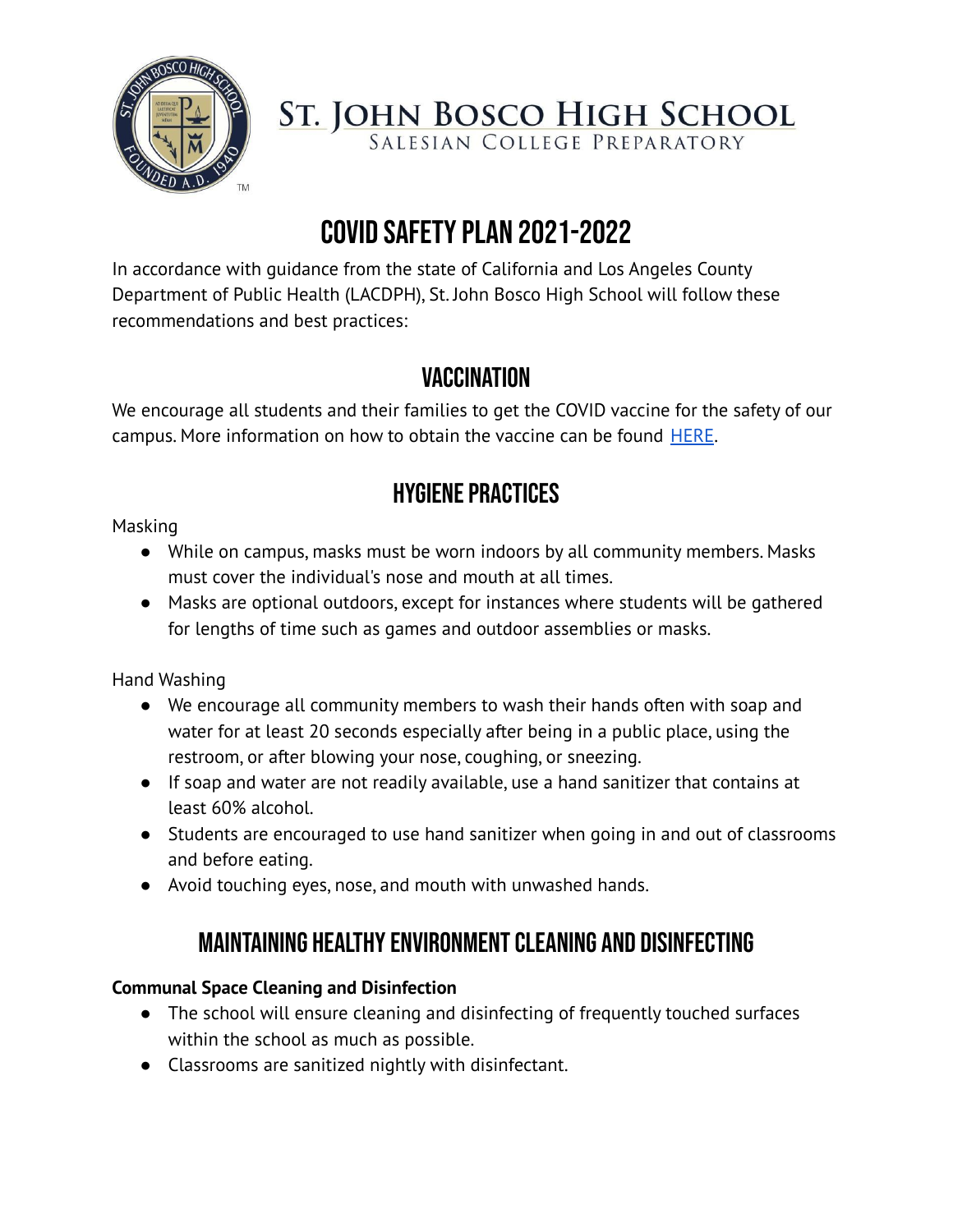

**ST. JOHN BOSCO HIGH SCHOOL**<br>SALESIAN COLLEGE PREPARATORY

# COVID SAFETY PLAN 2021-2022

In accordance with guidance from the state of California and Los Angeles County Department of Public Health (LACDPH), St. John Bosco High School will follow these recommendations and best practices:

## **VACCINATION**

We encourage all students and their families to get the COVID vaccine for the safety of our campus. More information on how to obtain the vaccine can be found **[HERE](http://www.publichealth.lacounty.gov/media/coronavirus/vaccine/index.htm)**.

## **HYGIENE PRACTICES**

Masking

- While on campus, masks must be worn indoors by all community members. Masks must cover the individual's nose and mouth at all times.
- Masks are optional outdoors, except for instances where students will be gathered for lengths of time such as games and outdoor assemblies or masks.

Hand Washing

- We encourage all community members to wash their hands often with soap and water for at least 20 seconds especially after being in a public place, using the restroom, or after blowing your nose, coughing, or sneezing.
- If soap and water are not readily available, use a hand sanitizer that contains at least 60% alcohol.
- Students are encouraged to use hand sanitizer when going in and out of classrooms and before eating.
- Avoid touching eyes, nose, and mouth with unwashed hands.

## MAINTAINING HEALTHY ENVIRONMENT CLEANING AND DISINFECTING

## **Communal Space Cleaning and Disinfection**

- The school will ensure cleaning and disinfecting of frequently touched surfaces within the school as much as possible.
- Classrooms are sanitized nightly with disinfectant.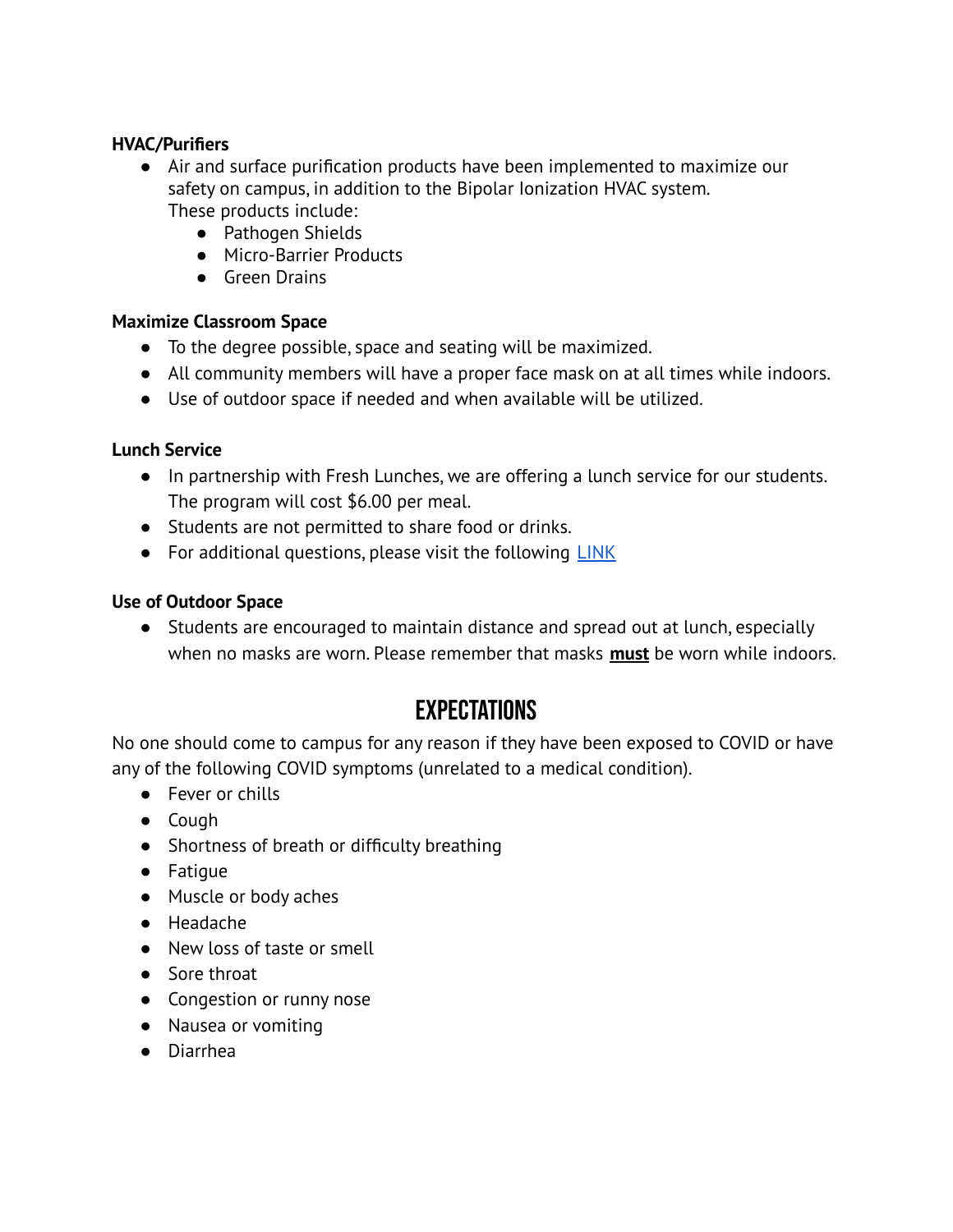#### **HVAC/Purifiers**

- Air and surface purification products have been implemented to maximize our safety on campus, in addition to the Bipolar Ionization HVAC system. These products include:
	- Pathogen Shields
	- Micro-Barrier Products
	- Green Drains

#### **Maximize Classroom Space**

- To the degree possible, space and seating will be maximized.
- All community members will have a proper face mask on at all times while indoors.
- Use of outdoor space if needed and when available will be utilized.

#### **Lunch Service**

- In partnership with Fresh Lunches, we are offering a lunch service for our students. The program will cost \$6.00 per meal.
- Students are not permitted to share food or drinks.
- For additional questions, please visit the following [LINK](https://www.bosco.org/my-bosco/families/lunch-service)

#### **Use of Outdoor Space**

● Students are encouraged to maintain distance and spread out at lunch, especially when no masks are worn. Please remember that masks **must** be worn while indoors.

## Expectations

No one should come to campus for any reason if they have been exposed to COVID or have any of the following COVID symptoms (unrelated to a medical condition).

- Fever or chills
- Cough
- Shortness of breath or difficulty breathing
- Fatigue
- Muscle or body aches
- Headache
- New loss of taste or smell
- Sore throat
- Congestion or runny nose
- Nausea or vomiting
- Diarrhea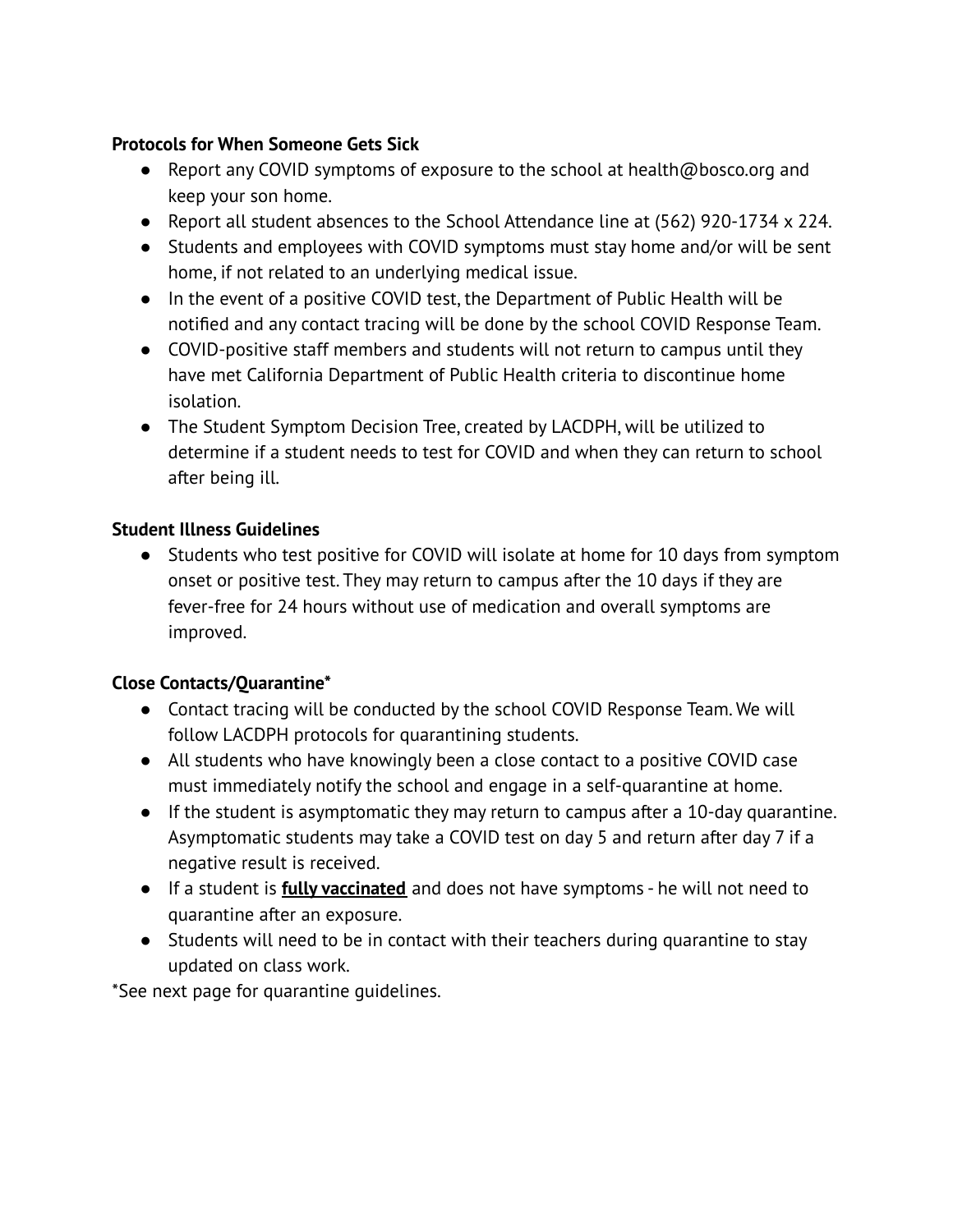#### **Protocols for When Someone Gets Sick**

- Report any COVID symptoms of exposure to the school at health@bosco.org and keep your son home.
- Report all student absences to the School Attendance line at (562) 920-1734 x 224.
- Students and employees with COVID symptoms must stay home and/or will be sent home, if not related to an underlying medical issue.
- In the event of a positive COVID test, the Department of Public Health will be notified and any contact tracing will be done by the school COVID Response Team.
- COVID-positive staff members and students will not return to campus until they have met California Department of Public Health criteria to discontinue home isolation.
- The Student Symptom Decision Tree, created by LACDPH, will be utilized to determine if a student needs to test for COVID and when they can return to school after being ill.

### **Student Illness Guidelines**

● Students who test positive for COVID will isolate at home for 10 days from symptom onset or positive test. They may return to campus after the 10 days if they are fever-free for 24 hours without use of medication and overall symptoms are improved.

### **Close Contacts/Quarantine\***

- Contact tracing will be conducted by the school COVID Response Team. We will follow LACDPH protocols for quarantining students.
- All students who have knowingly been a close contact to a positive COVID case must immediately notify the school and engage in a self-quarantine at home.
- If the student is asymptomatic they may return to campus after a 10-day quarantine. Asymptomatic students may take a COVID test on day 5 and return after day 7 if a negative result is received.
- If a student is **fully vaccinated** and does not have symptoms he will not need to quarantine after an exposure.
- Students will need to be in contact with their teachers during quarantine to stay updated on class work.

\*See next page for quarantine guidelines.